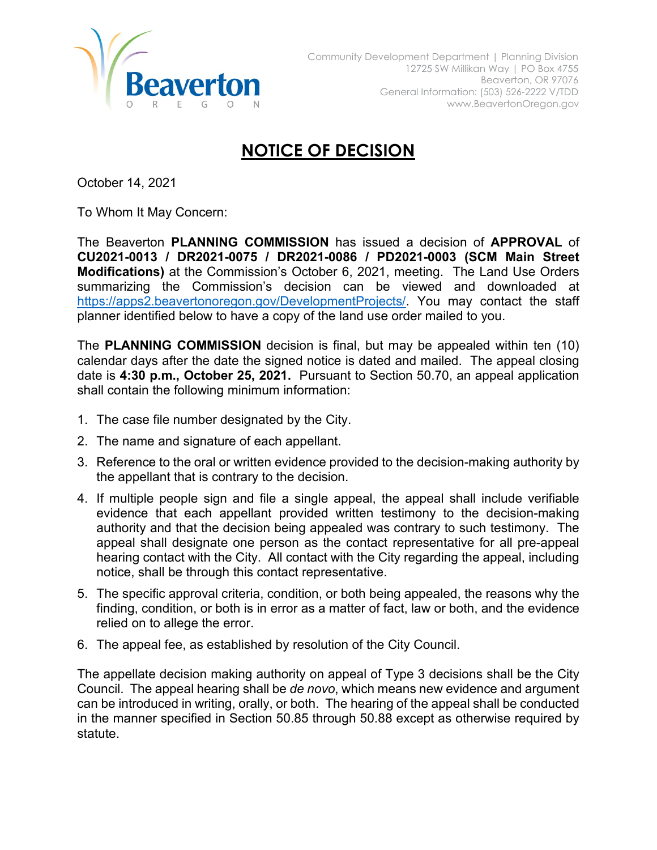

## **NOTICE OF DECISION**

October 14, 2021

To Whom It May Concern:

The Beaverton **PLANNING COMMISSION** has issued a decision of **APPROVAL** of **CU2021-0013 / DR2021-0075 / DR2021-0086 / PD2021-0003 (SCM Main Street Modifications)** at the Commission's October 6, 2021, meeting. The Land Use Orders summarizing the Commission's decision can be viewed and downloaded at [https://apps2.beavertonoregon.gov/DevelopmentProjects/.](https://apps2.beavertonoregon.gov/DevelopmentProjects/) You may contact the staff planner identified below to have a copy of the land use order mailed to you.

The **PLANNING COMMISSION** decision is final, but may be appealed within ten (10) calendar days after the date the signed notice is dated and mailed. The appeal closing date is **4:30 p.m., October 25, 2021.** Pursuant to Section 50.70, an appeal application shall contain the following minimum information:

- 1. The case file number designated by the City.
- 2. The name and signature of each appellant.
- 3. Reference to the oral or written evidence provided to the decision-making authority by the appellant that is contrary to the decision.
- 4. If multiple people sign and file a single appeal, the appeal shall include verifiable evidence that each appellant provided written testimony to the decision-making authority and that the decision being appealed was contrary to such testimony. The appeal shall designate one person as the contact representative for all pre-appeal hearing contact with the City. All contact with the City regarding the appeal, including notice, shall be through this contact representative.
- 5. The specific approval criteria, condition, or both being appealed, the reasons why the finding, condition, or both is in error as a matter of fact, law or both, and the evidence relied on to allege the error.
- 6. The appeal fee, as established by resolution of the City Council.

The appellate decision making authority on appeal of Type 3 decisions shall be the City Council. The appeal hearing shall be *de novo*, which means new evidence and argument can be introduced in writing, orally, or both. The hearing of the appeal shall be conducted in the manner specified in Section 50.85 through 50.88 except as otherwise required by statute.